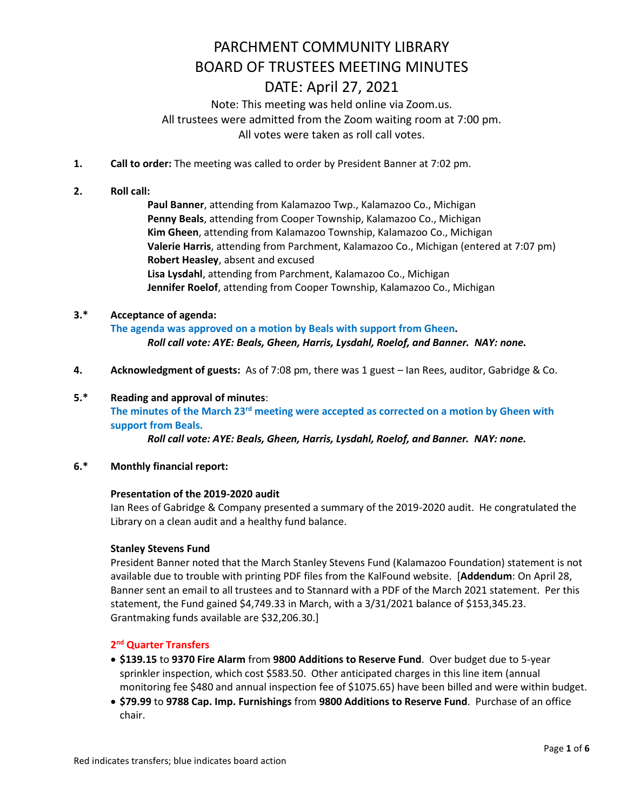Note: This meeting was held online via Zoom.us. All trustees were admitted from the Zoom waiting room at 7:00 pm. All votes were taken as roll call votes.

- **1. Call to order:** The meeting was called to order by President Banner at 7:02 pm.
- **2. Roll call:**

**Paul Banner**, attending from Kalamazoo Twp., Kalamazoo Co., Michigan **Penny Beals**, attending from Cooper Township, Kalamazoo Co., Michigan **Kim Gheen**, attending from Kalamazoo Township, Kalamazoo Co., Michigan **Valerie Harris**, attending from Parchment, Kalamazoo Co., Michigan (entered at 7:07 pm) **Robert Heasley**, absent and excused **Lisa Lysdahl**, attending from Parchment, Kalamazoo Co., Michigan **Jennifer Roelof**, attending from Cooper Township, Kalamazoo Co., Michigan

### **3.\* Acceptance of agenda: The agenda was approved on a motion by Beals with support from Gheen.**   *Roll call vote: AYE: Beals, Gheen, Harris, Lysdahl, Roelof, and Banner. NAY: none.*

**4. Acknowledgment of guests:** As of 7:08 pm, there was 1 guest – Ian Rees, auditor, Gabridge & Co.

### **5.\* Reading and approval of minutes**: **The minutes of the March 23rd meeting were accepted as corrected on a motion by Gheen with support from Beals.**

 *Roll call vote: AYE: Beals, Gheen, Harris, Lysdahl, Roelof, and Banner. NAY: none.* 

**6.\* Monthly financial report:**

#### **Presentation of the 2019-2020 audit**

Ian Rees of Gabridge & Company presented a summary of the 2019-2020 audit. He congratulated the Library on a clean audit and a healthy fund balance.

#### **Stanley Stevens Fund**

President Banner noted that the March Stanley Stevens Fund (Kalamazoo Foundation) statement is not available due to trouble with printing PDF files from the KalFound website. [**Addendum**: On April 28, Banner sent an email to all trustees and to Stannard with a PDF of the March 2021 statement. Per this statement, the Fund gained \$4,749.33 in March, with a 3/31/2021 balance of \$153,345.23. Grantmaking funds available are \$32,206.30.]

#### **2 nd Quarter Transfers**

- **\$139.15** to **9370 Fire Alarm** from **9800 Additions to Reserve Fund**. Over budget due to 5-year sprinkler inspection, which cost \$583.50. Other anticipated charges in this line item (annual monitoring fee \$480 and annual inspection fee of \$1075.65) have been billed and were within budget.
- **\$79.99** to **9788 Cap. Imp. Furnishings** from **9800 Additions to Reserve Fund**. Purchase of an office chair.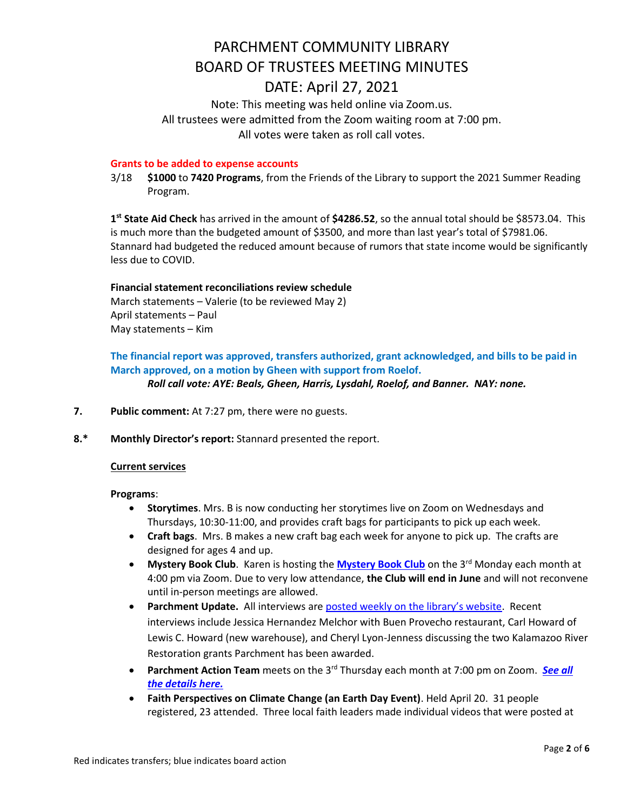Note: This meeting was held online via Zoom.us. All trustees were admitted from the Zoom waiting room at 7:00 pm. All votes were taken as roll call votes.

#### **Grants to be added to expense accounts**

3/18 **\$1000** to **7420 Programs**, from the Friends of the Library to support the 2021 Summer Reading Program.

**1 st State Aid Check** has arrived in the amount of **\$4286.52**, so the annual total should be \$8573.04. This is much more than the budgeted amount of \$3500, and more than last year's total of \$7981.06. Stannard had budgeted the reduced amount because of rumors that state income would be significantly less due to COVID.

#### **Financial statement reconciliations review schedule**

March statements – Valerie (to be reviewed May 2) April statements – Paul May statements – Kim

### **The financial report was approved, transfers authorized, grant acknowledged, and bills to be paid in March approved, on a motion by Gheen with support from Roelof.**

*Roll call vote: AYE: Beals, Gheen, Harris, Lysdahl, Roelof, and Banner. NAY: none.* 

- **7. Public comment:** At 7:27 pm, there were no guests.
- **8.\* Monthly Director's report:** Stannard presented the report.

#### **Current services**

#### **Programs**:

- **Storytimes**. Mrs. B is now conducting her storytimes live on Zoom on Wednesdays and Thursdays, 10:30-11:00, and provides craft bags for participants to pick up each week.
- **Craft bags**. Mrs. B makes a new craft bag each week for anyone to pick up. The crafts are designed for ages 4 and up.
- **[Mystery Book Club](https://www.parchmentlibrary.org/mystery-book-club)**. Karen is hosting the **Mystery Book Club** on the 3<sup>rd</sup> Monday each month at 4:00 pm via Zoom. Due to very low attendance, **the Club will end in June** and will not reconvene until in-person meetings are allowed.
- **Parchment Update.** All interviews are [posted weekly on the library's website](https://www.parchmentlibrary.org/parchment-update). Recent interviews include Jessica Hernandez Melchor with Buen Provecho restaurant, Carl Howard of Lewis C. Howard (new warehouse), and Cheryl Lyon-Jenness discussing the two Kalamazoo River Restoration grants Parchment has been awarded.
- **Parchment Action Team** meets on the 3<sup>rd</sup> Thursday each month at 7:00 pm on Zoom. **[See](https://www.parchmentlibrary.org/parchment-action-team) all** *the [details](https://www.parchmentlibrary.org/parchment-action-team) here.*
- **Faith Perspectives on Climate Change (an Earth Day Event)**. Held April 20. 31 people registered, 23 attended. Three local faith leaders made individual videos that were posted at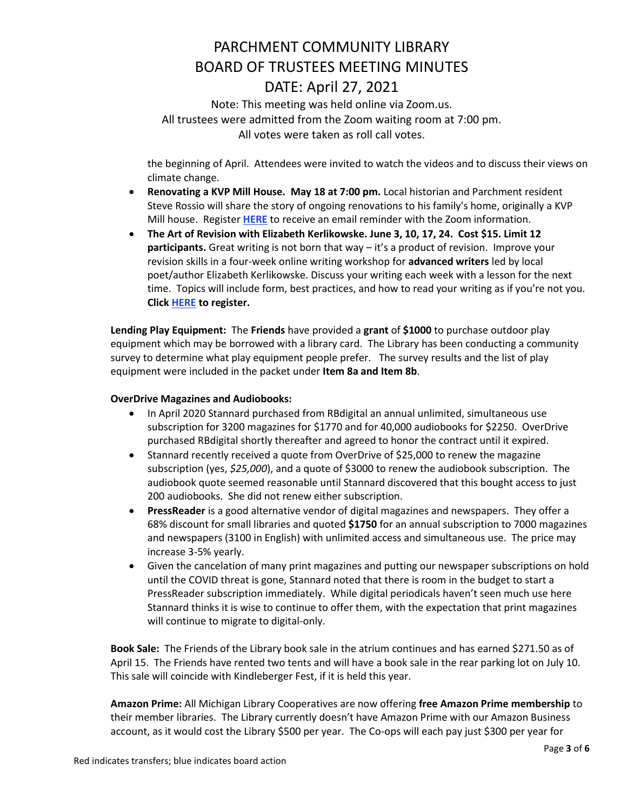Note: This meeting was held online via Zoom.us. All trustees were admitted from the Zoom waiting room at 7:00 pm. All votes were taken as roll call votes.

the beginning of April. Attendees were invited to watch the videos and to discuss their views on climate change.

- **Renovating a KVP Mill House. May 18 at 7:00 pm.** Local historian and Parchment resident Steve Rossio will share the story of ongoing renovations to his family's home, originally a KVP Mill house. Register **[HERE](https://www.parchmentlibrary.org/general-registration-form)** to receive an email reminder with the Zoom information.
- **The Art of Revision with Elizabeth Kerlikowske. June 3, 10, 17, 24. Cost \$15. Limit 12 participants.** Great writing is not born that way – it's a product of revision. Improve your revision skills in a four-week online writing workshop for **advanced writers** led by local poet/author Elizabeth Kerlikowske. Discuss your writing each week with a lesson for the next time. Topics will include form, best practices, and how to read your writing as if you're not you. **Click [HERE](https://checkout.square.site/merchant/5PPRVR0YT4H14/checkout/7EDY52CC3D2BBJMAAUBOG7MW) to register.**

**Lending Play Equipment:** The **Friends** have provided a **grant** of **\$1000** to purchase outdoor play equipment which may be borrowed with a library card. The Library has been conducting a community survey to determine what play equipment people prefer. The survey results and the list of play equipment were included in the packet under **Item 8a and Item 8b**.

### **OverDrive Magazines and Audiobooks:**

- In April 2020 Stannard purchased from RBdigital an annual unlimited, simultaneous use subscription for 3200 magazines for \$1770 and for 40,000 audiobooks for \$2250. OverDrive purchased RBdigital shortly thereafter and agreed to honor the contract until it expired.
- Stannard recently received a quote from OverDrive of \$25,000 to renew the magazine subscription (yes, *\$25,000*), and a quote of \$3000 to renew the audiobook subscription. The audiobook quote seemed reasonable until Stannard discovered that this bought access to just 200 audiobooks. She did not renew either subscription.
- **PressReader** is a good alternative vendor of digital magazines and newspapers. They offer a 68% discount for small libraries and quoted **\$1750** for an annual subscription to 7000 magazines and newspapers (3100 in English) with unlimited access and simultaneous use. The price may increase 3-5% yearly.
- Given the cancelation of many print magazines and putting our newspaper subscriptions on hold until the COVID threat is gone, Stannard noted that there is room in the budget to start a PressReader subscription immediately. While digital periodicals haven't seen much use here Stannard thinks it is wise to continue to offer them, with the expectation that print magazines will continue to migrate to digital-only.

**Book Sale:** The Friends of the Library book sale in the atrium continues and has earned \$271.50 as of April 15. The Friends have rented two tents and will have a book sale in the rear parking lot on July 10. This sale will coincide with Kindleberger Fest, if it is held this year.

**Amazon Prime:** All Michigan Library Cooperatives are now offering **free Amazon Prime membership** to their member libraries. The Library currently doesn't have Amazon Prime with our Amazon Business account, as it would cost the Library \$500 per year. The Co-ops will each pay just \$300 per year for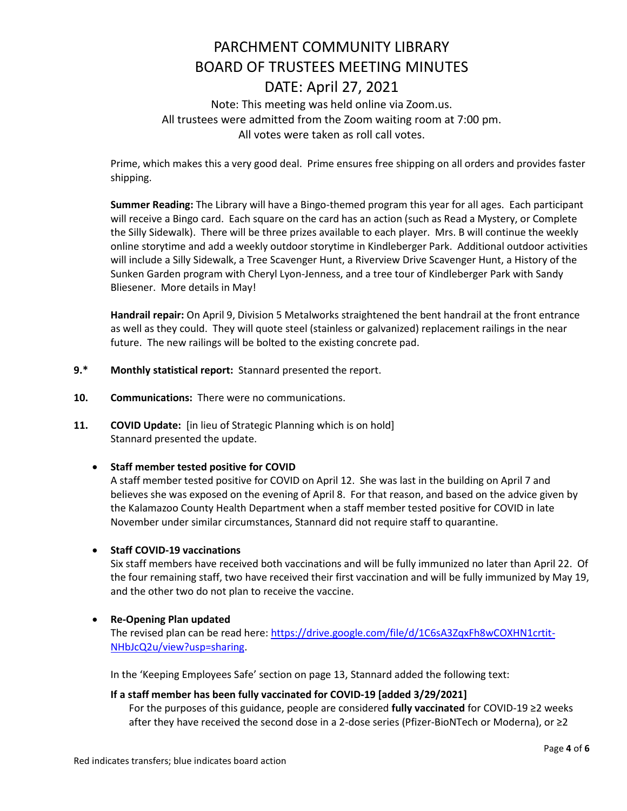# PARCHMENT COMMUNITY LIBRARY BOARD OF TRUSTEES MEETING MINUTES DATE: April 27, 2021 Note: This meeting was held online via Zoom.us.

### All trustees were admitted from the Zoom waiting room at 7:00 pm. All votes were taken as roll call votes.

Prime, which makes this a very good deal. Prime ensures free shipping on all orders and provides faster shipping.

**Summer Reading:** The Library will have a Bingo-themed program this year for all ages. Each participant will receive a Bingo card. Each square on the card has an action (such as Read a Mystery, or Complete the Silly Sidewalk). There will be three prizes available to each player. Mrs. B will continue the weekly online storytime and add a weekly outdoor storytime in Kindleberger Park. Additional outdoor activities will include a Silly Sidewalk, a Tree Scavenger Hunt, a Riverview Drive Scavenger Hunt, a History of the Sunken Garden program with Cheryl Lyon-Jenness, and a tree tour of Kindleberger Park with Sandy Bliesener. More details in May!

**Handrail repair:** On April 9, Division 5 Metalworks straightened the bent handrail at the front entrance as well as they could. They will quote steel (stainless or galvanized) replacement railings in the near future. The new railings will be bolted to the existing concrete pad.

- **9.\* Monthly statistical report:** Stannard presented the report.
- **10. Communications:** There were no communications.
- **11. COVID Update:** [in lieu of Strategic Planning which is on hold] Stannard presented the update.

### **Staff member tested positive for COVID**

A staff member tested positive for COVID on April 12. She was last in the building on April 7 and believes she was exposed on the evening of April 8. For that reason, and based on the advice given by the Kalamazoo County Health Department when a staff member tested positive for COVID in late November under similar circumstances, Stannard did not require staff to quarantine.

### **•** Staff COVID-19 vaccinations

Six staff members have received both vaccinations and will be fully immunized no later than April 22. Of the four remaining staff, two have received their first vaccination and will be fully immunized by May 19, and the other two do not plan to receive the vaccine.

### **Re-Opening Plan updated**

The revised plan can be read here[: https://drive.google.com/file/d/1C6sA3ZqxFh8wCOXHN1crtit-](https://drive.google.com/file/d/1C6sA3ZqxFh8wCOXHN1crtit-NHbJcQ2u/view?usp=sharing)[NHbJcQ2u/view?usp=sharing.](https://drive.google.com/file/d/1C6sA3ZqxFh8wCOXHN1crtit-NHbJcQ2u/view?usp=sharing)

In the 'Keeping Employees Safe' section on page 13, Stannard added the following text:

### **If a staff member has been fully vaccinated for COVID-19 [added 3/29/2021]**

For the purposes of this guidance, people are considered **fully vaccinated** for COVID-19 ≥2 weeks after they have received the second dose in a 2-dose series (Pfizer-BioNTech or Moderna), or ≥2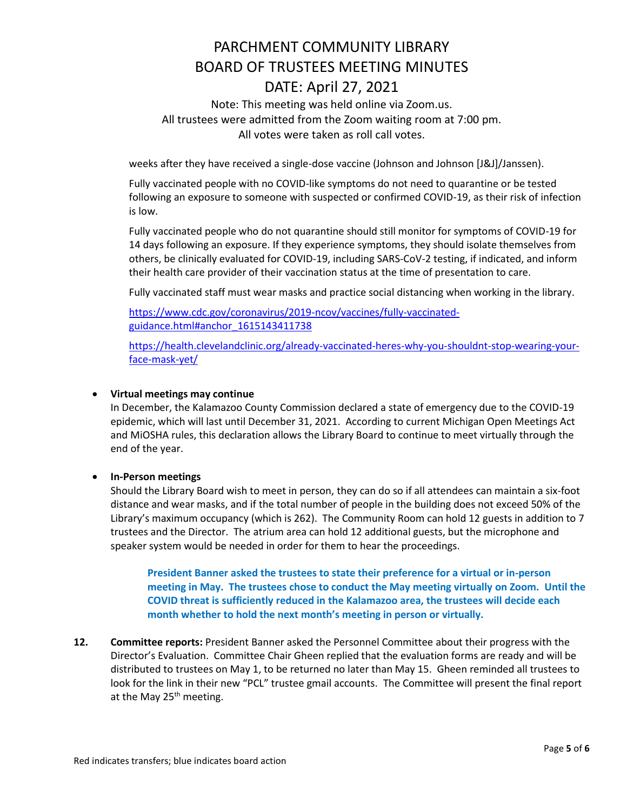Note: This meeting was held online via Zoom.us. All trustees were admitted from the Zoom waiting room at 7:00 pm. All votes were taken as roll call votes.

weeks after they have received a single-dose vaccine (Johnson and Johnson [J&J]/Janssen).

Fully vaccinated people with no COVID-like symptoms do not need to quarantine or be tested following an exposure to someone with suspected or confirmed COVID-19, as their risk of infection is low.

Fully vaccinated people who do not quarantine should still monitor for symptoms of COVID-19 for 14 days following an exposure. If they experience symptoms, they should isolate themselves from others, be clinically evaluated for COVID-19, including SARS-CoV-2 testing, if indicated, and inform their health care provider of their vaccination status at the time of presentation to care.

Fully vaccinated staff must wear masks and practice social distancing when working in the library.

[https://www.cdc.gov/coronavirus/2019-ncov/vaccines/fully-vaccinated](https://www.cdc.gov/coronavirus/2019-ncov/vaccines/fully-vaccinated-guidance.html%23anchor_1615143411738)[guidance.html#anchor\\_1615143411738](https://www.cdc.gov/coronavirus/2019-ncov/vaccines/fully-vaccinated-guidance.html%23anchor_1615143411738)

[https://health.clevelandclinic.org/already-vaccinated-heres-why-you-shouldnt-stop-wearing-your](https://health.clevelandclinic.org/already-vaccinated-heres-why-you-shouldnt-stop-wearing-your-face-mask-yet/)[face-mask-yet/](https://health.clevelandclinic.org/already-vaccinated-heres-why-you-shouldnt-stop-wearing-your-face-mask-yet/)

#### **Virtual meetings may continue**

In December, the Kalamazoo County Commission declared a state of emergency due to the COVID-19 epidemic, which will last until December 31, 2021. According to current Michigan Open Meetings Act and MiOSHA rules, this declaration allows the Library Board to continue to meet virtually through the end of the year.

### **In-Person meetings**

Should the Library Board wish to meet in person, they can do so if all attendees can maintain a six-foot distance and wear masks, and if the total number of people in the building does not exceed 50% of the Library's maximum occupancy (which is 262). The Community Room can hold 12 guests in addition to 7 trustees and the Director. The atrium area can hold 12 additional guests, but the microphone and speaker system would be needed in order for them to hear the proceedings.

**President Banner asked the trustees to state their preference for a virtual or in-person meeting in May. The trustees chose to conduct the May meeting virtually on Zoom. Until the COVID threat is sufficiently reduced in the Kalamazoo area, the trustees will decide each month whether to hold the next month's meeting in person or virtually.**

**12. Committee reports:** President Banner asked the Personnel Committee about their progress with the Director's Evaluation. Committee Chair Gheen replied that the evaluation forms are ready and will be distributed to trustees on May 1, to be returned no later than May 15. Gheen reminded all trustees to look for the link in their new "PCL" trustee gmail accounts. The Committee will present the final report at the May  $25<sup>th</sup>$  meeting.